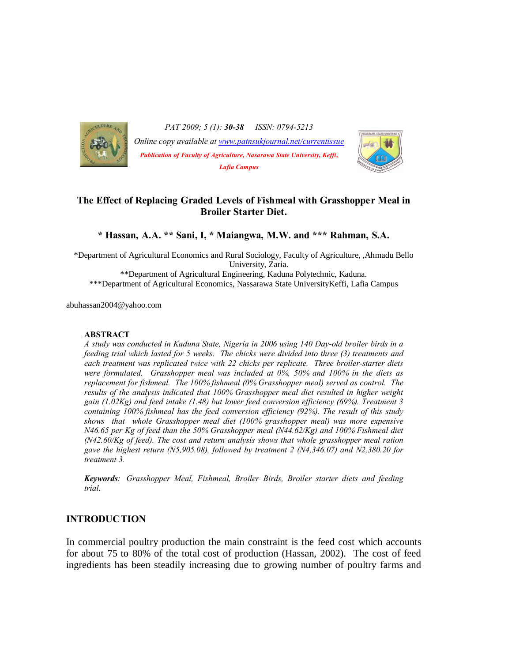

*PAT 2009; 5 (1): 30-38 ISSN: 0794-5213 Online copy available at www.patnsukjournal.net/currentissue Publication of Faculty of Agriculture, Nasarawa State University, Keffi, Lafia Campus*



# **The Effect of Replacing Graded Levels of Fishmeal with Grasshopper Meal in Broiler Starter Diet.**

**\* Hassan, A.A. \*\* Sani, I, \* Maiangwa, M.W. and \*\*\* Rahman, S.A.**

\*Department of Agricultural Economics and Rural Sociology, Faculty of Agriculture, ,Ahmadu Bello University, Zaria. \*\*Department of Agricultural Engineering, Kaduna Polytechnic, Kaduna. \*\*\*Department of Agricultural Economics, Nassarawa State UniversityKeffi, Lafia Campus

abuhassan2004@yahoo.com

#### **ABSTRACT**

*A study was conducted in Kaduna State, Nigeria in 2006 using 140 Day-old broiler birds in a feeding trial which lasted for 5 weeks. The chicks were divided into three (3) treatments and each treatment was replicated twice with 22 chicks per replicate. Three broiler-starter diets were formulated. Grasshopper meal was included at 0%, 50% and 100% in the diets as replacement for fishmeal. The 100% fishmeal (0% Grasshopper meal) served as control. The results of the analysis indicated that 100% Grasshopper meal diet resulted in higher weight gain (1.02Kg) and feed intake (1.48) but lower feed conversion efficiency (69%). Treatment 3 containing 100% fishmeal has the feed conversion efficiency (92%). The result of this study shows that whole Grasshopper meal diet (100% grasshopper meal) was more expensive N46.65 per Kg of feed than the 50% Grasshopper meal (N44.62/Kg) and 100% Fishmeal diet (N42.60/Kg of feed). The cost and return analysis shows that whole grasshopper meal ration gave the highest return (N5,905.08), followed by treatment 2 (N4,346.07) and N2,380.20 for treatment 3.*

*Keywords: Grasshopper Meal, Fishmeal, Broiler Birds, Broiler starter diets and feeding trial*.

### **INTRODUCTION**

In commercial poultry production the main constraint is the feed cost which accounts for about 75 to 80% of the total cost of production (Hassan, 2002). The cost of feed ingredients has been steadily increasing due to growing number of poultry farms and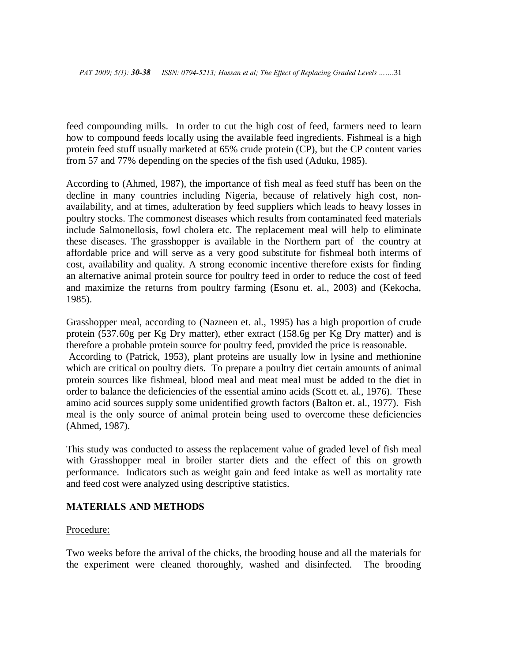feed compounding mills. In order to cut the high cost of feed, farmers need to learn how to compound feeds locally using the available feed ingredients. Fishmeal is a high protein feed stuff usually marketed at 65% crude protein (CP), but the CP content varies from 57 and 77% depending on the species of the fish used (Aduku, 1985).

According to (Ahmed, 1987), the importance of fish meal as feed stuff has been on the decline in many countries including Nigeria, because of relatively high cost, nonavailability, and at times, adulteration by feed suppliers which leads to heavy losses in poultry stocks. The commonest diseases which results from contaminated feed materials include Salmonellosis, fowl cholera etc. The replacement meal will help to eliminate these diseases. The grasshopper is available in the Northern part of the country at affordable price and will serve as a very good substitute for fishmeal both interms of cost, availability and quality. A strong economic incentive therefore exists for finding an alternative animal protein source for poultry feed in order to reduce the cost of feed and maximize the returns from poultry farming (Esonu et. al., 2003) and (Kekocha, 1985).

Grasshopper meal, according to (Nazneen et. al., 1995) has a high proportion of crude protein (537.60g per Kg Dry matter), ether extract (158.6g per Kg Dry matter) and is therefore a probable protein source for poultry feed, provided the price is reasonable. According to (Patrick, 1953), plant proteins are usually low in lysine and methionine which are critical on poultry diets. To prepare a poultry diet certain amounts of animal protein sources like fishmeal, blood meal and meat meal must be added to the diet in order to balance the deficiencies of the essential amino acids (Scott et. al., 1976). These amino acid sources supply some unidentified growth factors (Balton et. al., 1977). Fish meal is the only source of animal protein being used to overcome these deficiencies (Ahmed, 1987).

This study was conducted to assess the replacement value of graded level of fish meal with Grasshopper meal in broiler starter diets and the effect of this on growth performance. Indicators such as weight gain and feed intake as well as mortality rate and feed cost were analyzed using descriptive statistics.

## **MATERIALS AND METHODS**

### Procedure:

Two weeks before the arrival of the chicks, the brooding house and all the materials for the experiment were cleaned thoroughly, washed and disinfected. The brooding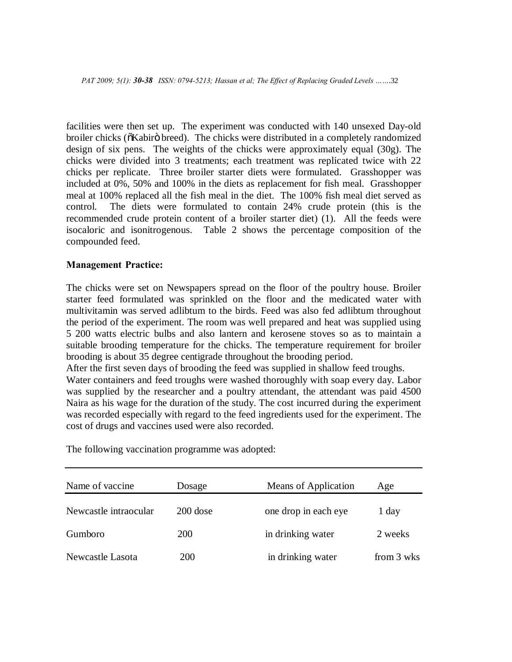*PAT 2009; 5(1): 30-38 ISSN: 0794-5213; Hassan et al; The Effect of Replacing Graded Levels ……*.32

facilities were then set up. The experiment was conducted with 140 unsexed Day-old broiler chicks ( $\delta$ Kabirö breed). The chicks were distributed in a completely randomized design of six pens. The weights of the chicks were approximately equal (30g). The chicks were divided into 3 treatments; each treatment was replicated twice with 22 chicks per replicate. Three broiler starter diets were formulated. Grasshopper was included at 0%, 50% and 100% in the diets as replacement for fish meal. Grasshopper meal at 100% replaced all the fish meal in the diet. The 100% fish meal diet served as control. The diets were formulated to contain 24% crude protein (this is the recommended crude protein content of a broiler starter diet) (1). All the feeds were isocaloric and isonitrogenous. Table 2 shows the percentage composition of the compounded feed.

### **Management Practice:**

The chicks were set on Newspapers spread on the floor of the poultry house. Broiler starter feed formulated was sprinkled on the floor and the medicated water with multivitamin was served adlibtum to the birds. Feed was also fed adlibtum throughout the period of the experiment. The room was well prepared and heat was supplied using 5 200 watts electric bulbs and also lantern and kerosene stoves so as to maintain a suitable brooding temperature for the chicks. The temperature requirement for broiler brooding is about 35 degree centigrade throughout the brooding period.

After the first seven days of brooding the feed was supplied in shallow feed troughs.

Water containers and feed troughs were washed thoroughly with soap every day. Labor was supplied by the researcher and a poultry attendant, the attendant was paid 4500 Naira as his wage for the duration of the study. The cost incurred during the experiment was recorded especially with regard to the feed ingredients used for the experiment. The cost of drugs and vaccines used were also recorded.

| Name of vaccine       | Dosage     | Means of Application | Age        |
|-----------------------|------------|----------------------|------------|
| Newcastle intraocular | $200$ dose | one drop in each eye | 1 day      |
| Gumboro               | <b>200</b> | in drinking water    | 2 weeks    |
| Newcastle Lasota      | <b>200</b> | in drinking water    | from 3 wks |

The following vaccination programme was adopted: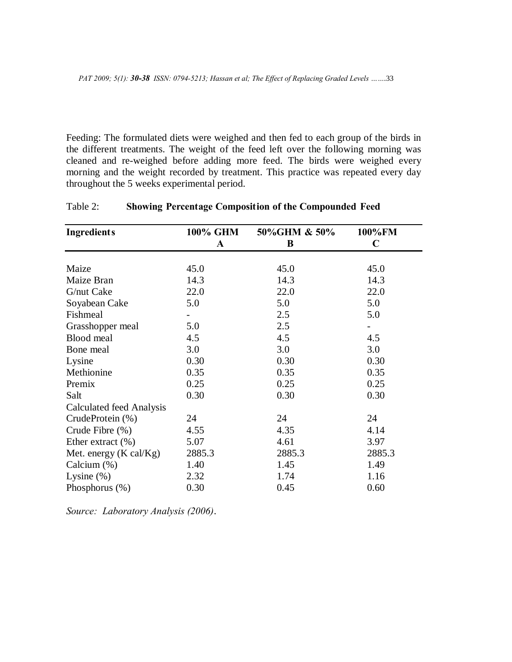Feeding: The formulated diets were weighed and then fed to each group of the birds in the different treatments. The weight of the feed left over the following morning was cleaned and re-weighed before adding more feed. The birds were weighed every morning and the weight recorded by treatment. This practice was repeated every day throughout the 5 weeks experimental period.

| <b>Ingredients</b>               | <b>100% GHM</b> | 50%GHM & 50% | 100%FM      |
|----------------------------------|-----------------|--------------|-------------|
|                                  | $\mathbf A$     | B            | $\mathbf C$ |
|                                  |                 |              |             |
| Maize                            | 45.0            | 45.0         | 45.0        |
| Maize Bran                       | 14.3            | 14.3         | 14.3        |
| G/nut Cake                       | 22.0            | 22.0         | 22.0        |
| Soyabean Cake                    | 5.0             | 5.0          | 5.0         |
| Fishmeal                         |                 | 2.5          | 5.0         |
| Grasshopper meal                 | 5.0             | 2.5          |             |
| Blood meal                       | 4.5             | 4.5          | 4.5         |
| Bone meal                        | 3.0             | 3.0          | 3.0         |
| Lysine                           | 0.30            | 0.30         | 0.30        |
| Methionine                       | 0.35            | 0.35         | 0.35        |
| Premix                           | 0.25            | 0.25         | 0.25        |
| Salt                             | 0.30            | 0.30         | 0.30        |
| Calculated feed Analysis         |                 |              |             |
| CrudeProtein (%)                 | 24              | 24           | 24          |
| Crude Fibre (%)                  | 4.55            | 4.35         | 4.14        |
| Ether extract $(\% )$            | 5.07            | 4.61         | 3.97        |
| Met. energy $(K \text{ cal}/Kg)$ | 2885.3          | 2885.3       | 2885.3      |
| Calcium $(\%)$                   | 1.40            | 1.45         | 1.49        |
| Lysine $(\%)$                    | 2.32            | 1.74         | 1.16        |
| Phosphorus (%)                   | 0.30            | 0.45         | 0.60        |

# Table 2: **Showing Percentage Composition of the Compounded Feed**

*Source: Laboratory Analysis (2006)*.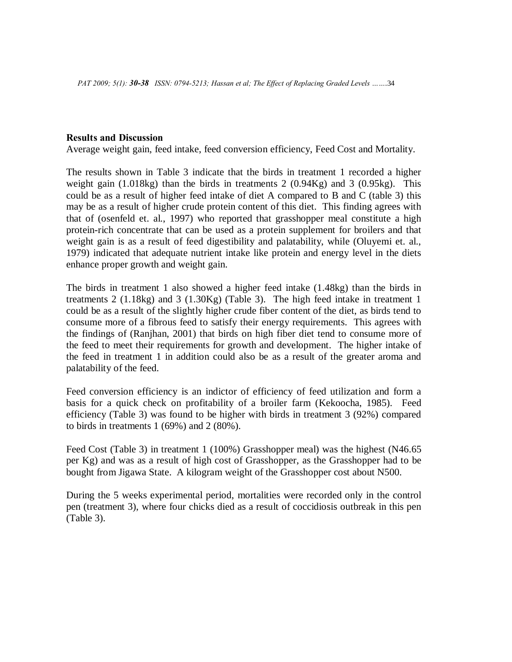### **Results and Discussion**

Average weight gain, feed intake, feed conversion efficiency, Feed Cost and Mortality.

The results shown in Table 3 indicate that the birds in treatment 1 recorded a higher weight gain (1.018kg) than the birds in treatments 2 (0.94Kg) and 3 (0.95kg). This could be as a result of higher feed intake of diet A compared to B and C (table 3) this may be as a result of higher crude protein content of this diet. This finding agrees with that of (osenfeld et. al., 1997) who reported that grasshopper meal constitute a high protein-rich concentrate that can be used as a protein supplement for broilers and that weight gain is as a result of feed digestibility and palatability, while (Oluyemi et. al., 1979) indicated that adequate nutrient intake like protein and energy level in the diets enhance proper growth and weight gain.

The birds in treatment 1 also showed a higher feed intake (1.48kg) than the birds in treatments 2 (1.18kg) and 3 (1.30Kg) (Table 3). The high feed intake in treatment 1 could be as a result of the slightly higher crude fiber content of the diet, as birds tend to consume more of a fibrous feed to satisfy their energy requirements. This agrees with the findings of (Ranjhan, 2001) that birds on high fiber diet tend to consume more of the feed to meet their requirements for growth and development. The higher intake of the feed in treatment 1 in addition could also be as a result of the greater aroma and palatability of the feed.

Feed conversion efficiency is an indictor of efficiency of feed utilization and form a basis for a quick check on profitability of a broiler farm (Kekoocha, 1985). Feed efficiency (Table 3) was found to be higher with birds in treatment 3 (92%) compared to birds in treatments 1 (69%) and 2 (80%).

Feed Cost (Table 3) in treatment 1 (100%) Grasshopper meal) was the highest (N46.65 per Kg) and was as a result of high cost of Grasshopper, as the Grasshopper had to be bought from Jigawa State. A kilogram weight of the Grasshopper cost about N500.

During the 5 weeks experimental period, mortalities were recorded only in the control pen (treatment 3), where four chicks died as a result of coccidiosis outbreak in this pen (Table 3).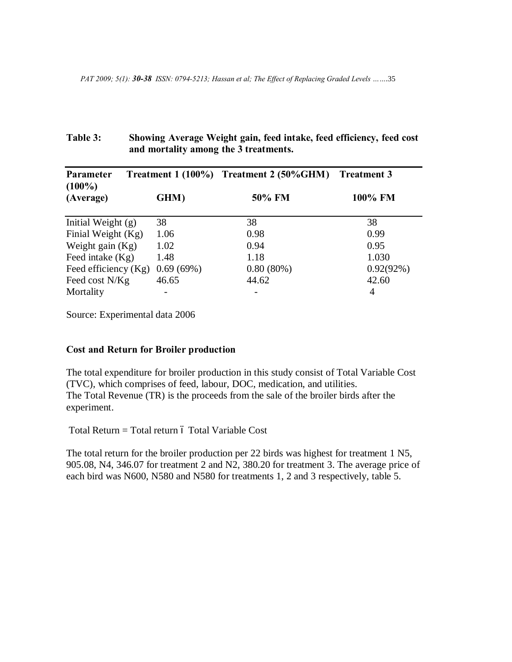# **Table 3: Showing Average Weight gain, feed intake, feed efficiency, feed cost and mortality among the 3 treatments.**

| Parameter<br>$(100\%)$ | Treatment $1(100\%)$ | Treatment 2 (50%GHM) Treatment 3 |              |
|------------------------|----------------------|----------------------------------|--------------|
| (Average)              | GHM)                 | 50% FM                           | 100% FM      |
| Initial Weight $(g)$   | 38                   | 38                               | 38           |
| Finial Weight (Kg)     | 1.06                 | 0.98                             | 0.99         |
| Weight gain $(Kg)$     | 1.02                 | 0.94                             | 0.95         |
| Feed intake $(Kg)$     | 1.48                 | 1.18                             | 1.030        |
| Feed efficiency (Kg)   | 0.69(69%)            | $0.80(80\%)$                     | $0.92(92\%)$ |
| Feed cost N/Kg         | 46.65                | 44.62                            | 42.60        |
| Mortality              |                      |                                  | 4            |

Source: Experimental data 2006

### **Cost and Return for Broiler production**

The total expenditure for broiler production in this study consist of Total Variable Cost (TVC), which comprises of feed, labour, DOC, medication, and utilities. The Total Revenue (TR) is the proceeds from the sale of the broiler birds after the experiment.

 $Total Return = Total return 6 Total Variable Cost$ 

The total return for the broiler production per 22 birds was highest for treatment 1 N5, 905.08, N4, 346.07 for treatment 2 and N2, 380.20 for treatment 3. The average price of each bird was N600, N580 and N580 for treatments 1, 2 and 3 respectively, table 5.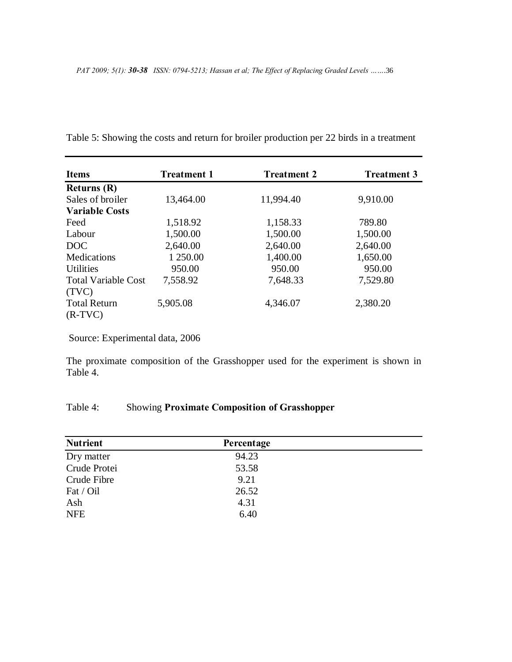| <b>Items</b>               | <b>Treatment 1</b> | <b>Treatment 2</b> | <b>Treatment 3</b> |
|----------------------------|--------------------|--------------------|--------------------|
| Returns $(R)$              |                    |                    |                    |
| Sales of broiler           | 13,464.00          | 11,994.40          | 9,910.00           |
| <b>Variable Costs</b>      |                    |                    |                    |
| Feed                       | 1,518.92           | 1,158.33           | 789.80             |
| Labour                     | 1,500.00           | 1,500.00           | 1,500.00           |
| DOC                        | 2,640.00           | 2,640.00           | 2,640.00           |
| <b>Medications</b>         | 1 250.00           | 1,400.00           | 1,650.00           |
| <b>Utilities</b>           | 950.00             | 950.00             | 950.00             |
| <b>Total Variable Cost</b> | 7,558.92           | 7,648.33           | 7,529.80           |
| (TVC)                      |                    |                    |                    |
| <b>Total Return</b>        | 5,905.08           | 4,346.07           | 2,380.20           |
| $(R-TVC)$                  |                    |                    |                    |

Table 5: Showing the costs and return for broiler production per 22 birds in a treatment

Source: Experimental data, 2006

The proximate composition of the Grasshopper used for the experiment is shown in Table 4.

# Table 4: Showing **Proximate Composition of Grasshopper**

| <b>Nutrient</b> | Percentage |  |
|-----------------|------------|--|
| Dry matter      | 94.23      |  |
| Crude Protei    | 53.58      |  |
| Crude Fibre     | 9.21       |  |
| Fat / Oil       | 26.52      |  |
| Ash             | 4.31       |  |
| <b>NFE</b>      | 6.40       |  |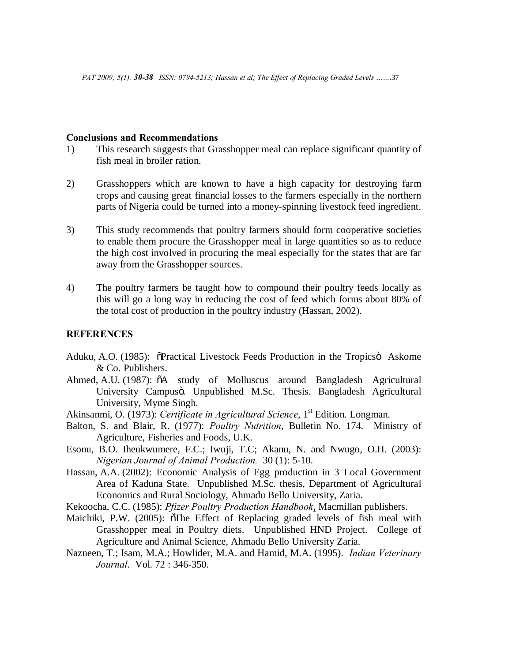### **Conclusions and Recommendations**

- 1) This research suggests that Grasshopper meal can replace significant quantity of fish meal in broiler ration.
- 2) Grasshoppers which are known to have a high capacity for destroying farm crops and causing great financial losses to the farmers especially in the northern parts of Nigeria could be turned into a money-spinning livestock feed ingredient.
- 3) This study recommends that poultry farmers should form cooperative societies to enable them procure the Grasshopper meal in large quantities so as to reduce the high cost involved in procuring the meal especially for the states that are far away from the Grasshopper sources.
- 4) The poultry farmers be taught how to compound their poultry feeds locally as this will go a long way in reducing the cost of feed which forms about 80% of the total cost of production in the poultry industry (Hassan, 2002).

### **REFERENCES**

- Aduku, A.O. (1985):  $\delta$ Practical Livestock Feeds Production in the Tropics Askome & Co. Publishers.
- Ahmed, A.U. (1987):  $\delta A$  study of Molluscus around Bangladesh Agricultural University Campusö. Unpublished M.Sc. Thesis. Bangladesh Agricultural University, Myme Singh.
- Akinsanmi, O. (1973): *Certificate in Agricultural Science*, 1<sup>st</sup> Edition. Longman.
- Balton, S. and Blair, R. (1977): *Poultry Nutrition*, Bulletin No. 174. Ministry of Agriculture, Fisheries and Foods, U.K.
- Esonu, B.O. Iheukwumere, F.C.; Iwuji, T.C; Akanu, N. and Nwugo, O.H. (2003): *Nigerian Journal of Animal Production.* 30 (1): 5-10.
- Hassan, A.A. (2002): Economic Analysis of Egg production in 3 Local Government Area of Kaduna State. Unpublished M.Sc. thesis, Department of Agricultural Economics and Rural Sociology, Ahmadu Bello University, Zaria.
- Kekoocha, C.C. (1985): *Pfizer Poultry Production Handbook*, Macmillan publishers.
- Maichiki, P.W. (2005):  $\delta$ The Effect of Replacing graded levels of fish meal with Grasshopper meal in Poultry diets. Unpublished HND Project. College of Agriculture and Animal Science, Ahmadu Bello University Zaria.
- Nazneen, T.; Isam, M.A.; Howlider, M.A. and Hamid, M.A. (1995). *Indian Veterinary Journal*. Vol. 72 : 346-350.